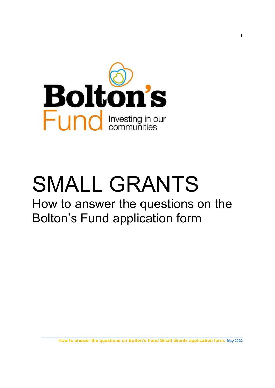

# SMALL GRANTS

# How to answer the questions on the Bolton's Fund application form

How to answer the questions on Bolton's Fund Small Grants application form: May 2022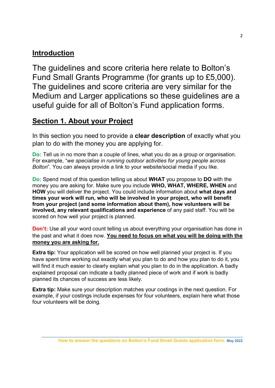# Introduction

The guidelines and score criteria here relate to Bolton's Fund Small Grants Programme (for grants up to £5,000). The guidelines and score criteria are very similar for the Medium and Larger applications so these guidelines are a useful guide for all of Bolton's Fund application forms.

# Section 1. About your Project

In this section you need to provide a **clear description** of exactly what you plan to do with the money you are applying for.

Do: Tell us in no more than a couple of lines, what you do as a group or organisation. For example, "we specialise in running outdoor activities for young people across Bolton". You can always provide a link to your website/social media if you like.

Do: Spend most of this question telling us about WHAT you propose to DO with the money you are asking for. Make sure you include WHO, WHAT, WHERE, WHEN and HOW you will deliver the project. You could include information about what days and times your work will run, who will be involved in your project, who will benefit from your project (and some information about them), how volunteers will be involved, any relevant qualifications and experience of any paid staff. You will be scored on how well your project is planned.

**Don't:** Use all your word count telling us about everything your organisation has done in the past and what it does now. You need to focus on what you will be doing with the money you are asking for.

Extra tip: Your application will be scored on how well planned your project is. If you have spent time working out exactly what you plan to do and how you plan to do it, you will find it much easier to clearly explain what you plan to do in the application. A badly explained proposal can indicate a badly planned piece of work and if work is badly planned its chances of success are less likely.

Extra tip: Make sure your description matches your costings in the next question. For example, if your costings include expenses for four volunteers, explain here what those four volunteers will be doing.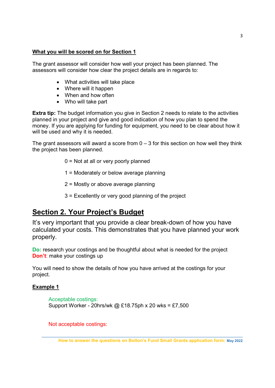#### What you will be scored on for Section 1

The grant assessor will consider how well your project has been planned. The assessors will consider how clear the project details are in regards to:

- What activities will take place
- Where will it happen
- When and how often
- Who will take part

**Extra tip:** The budget information you give in Section 2 needs to relate to the activities planned in your project and give and good indication of how you plan to spend the money. If you are applying for funding for equipment, you need to be clear about how it will be used and why it is needed.

The grant assessors will award a score from  $0 - 3$  for this section on how well they think the project has been planned.

- 0 = Not at all or very poorly planned
- 1 = Moderately or below average planning
- 2 = Mostly or above average planning
- 3 = Excellently or very good planning of the project

# Section 2. Your Project's Budget

It's very important that you provide a clear break-down of how you have calculated your costs. This demonstrates that you have planned your work properly.

Do: research your costings and be thoughtful about what is needed for the project **Don't:** make your costings up

You will need to show the details of how you have arrived at the costings for your project.

#### Example 1

Acceptable costings: Support Worker - 20hrs/wk @ £18.75ph x 20 wks = £7,500

Not acceptable costings: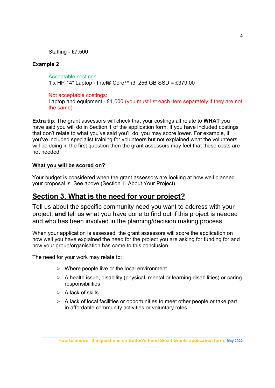Staffing - £7,500

#### Example 2

Acceptable costings: 1 x HP 14" Laptop - Intel® Core™ i3, 256 GB SSD = £379.00

Not acceptable costings:

Laptop and equipment - £1,000 (you must list each item separately if they are not the same)

**Extra tip:** The grant assessors will check that your costings all relate to WHAT you have said you will do in Section 1 of the application form. If you have included costings that don't relate to what you've said you'll do, you may score lower. For example, if you've included specialist training for volunteers but not explained what the volunteers will be doing in the first question then the grant assessors may feel that these costs are not needed.

#### What you will be scored on?

Your budget is considered when the grant assessors are looking at how well planned your proposal is. See above (Section 1. About Your Project).

## Section 3. What is the need for your project?

Tell us about the specific community need you want to address with your project, and tell us what you have done to find out if this project is needed and who has been involved in the planning/decision making process.

When your application is assessed, the grant assessors will score the application on how well you have explained the need for the project you are asking for funding for and how your group/organisation has come to this conclusion.

The need for your work may relate to:

- $\triangleright$  Where people live or the local environment
- $\triangleright$  A health issue, disability (physical, mental or learning disabilities) or caring responsibilities
- $\triangleright$  A lack of skills
- $\triangleright$  A lack of local facilities or opportunities to meet other people or take part in affordable community activities or voluntary roles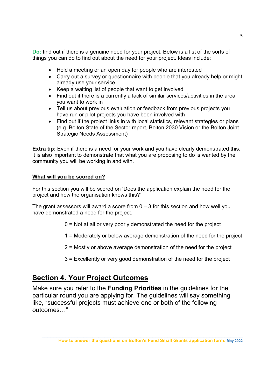Do: find out if there is a genuine need for your project. Below is a list of the sorts of things you can do to find out about the need for your project. Ideas include:

- Hold a meeting or an open day for people who are interested
- Carry out a survey or questionnaire with people that you already help or might already use your service
- Keep a waiting list of people that want to get involved
- Find out if there is a currently a lack of similar services/activities in the area you want to work in
- Tell us about previous evaluation or feedback from previous projects you have run or pilot projects you have been involved with
- Find out if the project links in with local statistics, relevant strategies or plans (e.g. Bolton State of the Sector report, Bolton 2030 Vision or the Bolton Joint Strategic Needs Assessment)

**Extra tip:** Even if there is a need for your work and you have clearly demonstrated this, it is also important to demonstrate that what you are proposing to do is wanted by the community you will be working in and with.

#### What will you be scored on?

For this section you will be scored on 'Does the application explain the need for the project and how the organisation knows this?'

The grant assessors will award a score from  $0 - 3$  for this section and how well you have demonstrated a need for the project.

- 0 = Not at all or very poorly demonstrated the need for the project
- 1 = Moderately or below average demonstration of the need for the project
- 2 = Mostly or above average demonstration of the need for the project
- 3 = Excellently or very good demonstration of the need for the project

# Section 4. Your Project Outcomes

Make sure you refer to the Funding Priorities in the guidelines for the particular round you are applying for. The guidelines will say something like, "successful projects must achieve one or both of the following outcomes…"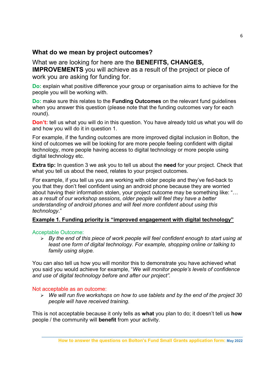#### What do we mean by project outcomes?

#### What we are looking for here are the BENEFITS, CHANGES,

IMPROVEMENTS you will achieve as a result of the project or piece of work you are asking for funding for.

Do: explain what positive difference your group or organisation aims to achieve for the people you will be working with.

Do: make sure this relates to the **Funding Outcomes** on the relevant fund guidelines when you answer this question (please note that the funding outcomes vary for each round).

**Don't:** tell us what you will do in this question. You have already told us what you will do and how you will do it in question 1.

For example, if the funding outcomes are more improved digital inclusion in Bolton, the kind of outcomes we will be looking for are more people feeling confident with digital technology, more people having access to digital technology or more people using digital technology etc.

**Extra tip:** In question 3 we ask you to tell us about the need for your project. Check that what you tell us about the need, relates to your project outcomes.

For example, if you tell us you are working with older people and they've fed-back to you that they don't feel confident using an android phone because they are worried about having their information stolen, your project outcome may be something like: "… as a result of our workshop sessions, older people will feel they have a better understanding of android phones and will feel more confident about using this technology."

#### Example 1. Funding priority is "improved engagement with digital technology"

#### Acceptable Outcome:

 $\triangleright$  By the end of this piece of work people will feel confident enough to start using at least one form of digital technology. For example, shopping online or talking to family using skype.

You can also tell us how you will monitor this to demonstrate you have achieved what you said you would achieve for example, "We will monitor people's levels of confidence and use of digital technology before and after our project".

#### Not acceptable as an outcome:

 $\triangleright$  We will run five workshops on how to use tablets and by the end of the project 30 people will have received training.

This is not acceptable because it only tells as what you plan to do; it doesn't tell us how people / the community will benefit from your activity.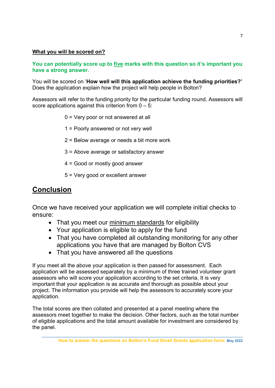#### What you will be scored on?

You can potentially score up to five marks with this question so it's important you have a strong answer.

You will be scored on 'How well will this application achieve the funding priorities?' Does the application explain how the project will help people in Bolton?

Assessors will refer to the funding priority for the particular funding round. Assessors will score applications against this criterion from  $0 - 5$ :

- 0 = Very poor or not answered at all
- 1 = Poorly answered or not very well
- 2 = Below average or needs a bit more work
- 3 = Above average or satisfactory answer
- 4 = Good or mostly good answer
- 5 = Very good or excellent answer

### Conclusion

Once we have received your application we will complete initial checks to ensure:

- That you meet our minimum standards for eligibility
- Your application is eligible to apply for the fund
- That you have completed all outstanding monitoring for any other applications you have that are managed by Bolton CVS
- That you have answered all the questions

If you meet all the above your application is then passed for assessment. Each application will be assessed separately by a minimum of three trained volunteer grant assessors who will score your application according to the set criteria. It is very important that your application is as accurate and thorough as possible about your project. The information you provide will help the assessors to accurately score your application.

The total scores are then collated and presented at a panel meeting where the assessors meet together to make the decision. Other factors, such as the total number of eligible applications and the total amount available for investment are considered by the panel.